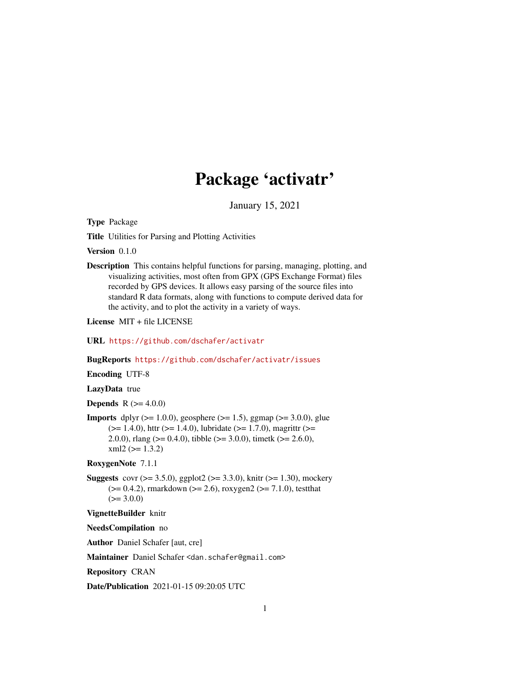## Package 'activatr'

January 15, 2021

Type Package

Title Utilities for Parsing and Plotting Activities

Version 0.1.0

Description This contains helpful functions for parsing, managing, plotting, and visualizing activities, most often from GPX (GPS Exchange Format) files recorded by GPS devices. It allows easy parsing of the source files into standard R data formats, along with functions to compute derived data for the activity, and to plot the activity in a variety of ways.

License MIT + file LICENSE

URL <https://github.com/dschafer/activatr>

BugReports <https://github.com/dschafer/activatr/issues>

Encoding UTF-8

LazyData true

**Depends** R  $(>= 4.0.0)$ 

**Imports** dplyr ( $>= 1.0.0$ ), geosphere ( $>= 1.5$ ), ggmap ( $>= 3.0.0$ ), glue  $(>= 1.4.0)$ , httr  $(>= 1.4.0)$ , lubridate  $(>= 1.7.0)$ , magrittr  $(>= 1.4.0)$ 2.0.0), rlang ( $> = 0.4.0$ ), tibble ( $> = 3.0.0$ ), timetk ( $> = 2.6.0$ ),  $xml2 (= 1.3.2)$ 

RoxygenNote 7.1.1

**Suggests** covr ( $>= 3.5.0$ ), ggplot2 ( $>= 3.3.0$ ), knitr ( $>= 1.30$ ), mockery  $(>= 0.4.2)$ , rmarkdown  $(>= 2.6)$ , roxygen2  $(>= 7.1.0)$ , testthat  $(>= 3.0.0)$ 

VignetteBuilder knitr

NeedsCompilation no

Author Daniel Schafer [aut, cre]

Maintainer Daniel Schafer <dan.schafer@gmail.com>

Repository CRAN

Date/Publication 2021-01-15 09:20:05 UTC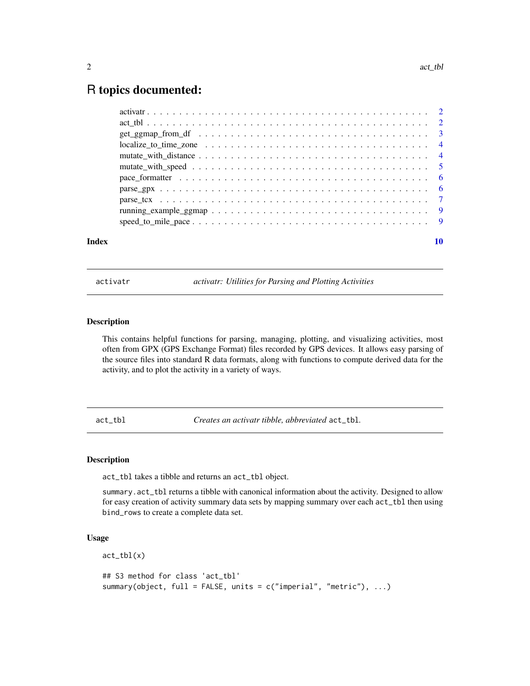### <span id="page-1-0"></span>R topics documented:

| Index | 10 |
|-------|----|
|       |    |
|       |    |
|       |    |
|       |    |
|       |    |
|       |    |
|       |    |
|       |    |
|       |    |
|       |    |
|       |    |

activatr *activatr: Utilities for Parsing and Plotting Activities*

#### Description

This contains helpful functions for parsing, managing, plotting, and visualizing activities, most often from GPX (GPS Exchange Format) files recorded by GPS devices. It allows easy parsing of the source files into standard R data formats, along with functions to compute derived data for the activity, and to plot the activity in a variety of ways.

act\_tbl *Creates an activatr tibble, abbreviated* act\_tbl*.*

#### Description

act\_tbl takes a tibble and returns an act\_tbl object.

summary.act\_tbl returns a tibble with canonical information about the activity. Designed to allow for easy creation of activity summary data sets by mapping summary over each act\_tbl then using bind\_rows to create a complete data set.

#### Usage

 $act_{tbl(x)}$ ## S3 method for class 'act\_tbl' summary(object, full = FALSE, units =  $c("imperial", "metric"), ...$ )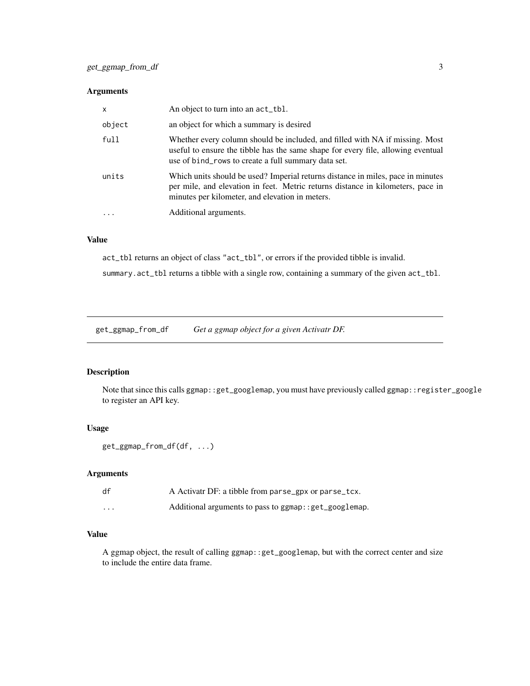#### <span id="page-2-0"></span>Arguments

| $\mathsf{x}$ | An object to turn into an $act_t$ .                                                                                                                                                                                     |
|--------------|-------------------------------------------------------------------------------------------------------------------------------------------------------------------------------------------------------------------------|
| object       | an object for which a summary is desired                                                                                                                                                                                |
| full         | Whether every column should be included, and filled with NA if missing. Most<br>useful to ensure the tibble has the same shape for every file, allowing eventual<br>use of bind_rows to create a full summary data set. |
| units        | Which units should be used? Imperial returns distance in miles, pace in minutes<br>per mile, and elevation in feet. Metric returns distance in kilometers, pace in<br>minutes per kilometer, and elevation in meters.   |
| .            | Additional arguments.                                                                                                                                                                                                   |

#### Value

act\_tbl returns an object of class "act\_tbl", or errors if the provided tibble is invalid.

summary.act\_tbl returns a tibble with a single row, containing a summary of the given act\_tbl.

get\_ggmap\_from\_df *Get a ggmap object for a given Activatr DF.*

#### Description

Note that since this calls ggmap::get\_googlemap, you must have previously called ggmap::register\_google to register an API key.

#### Usage

```
get_ggmap_from_df(df, ...)
```
#### Arguments

| df       | A Activatr DF: a tibble from parse_gpx or parse_tcx.    |
|----------|---------------------------------------------------------|
| $\cdots$ | Additional arguments to pass to ggmap: : get_googlemap. |

#### Value

A ggmap object, the result of calling ggmap::get\_googlemap, but with the correct center and size to include the entire data frame.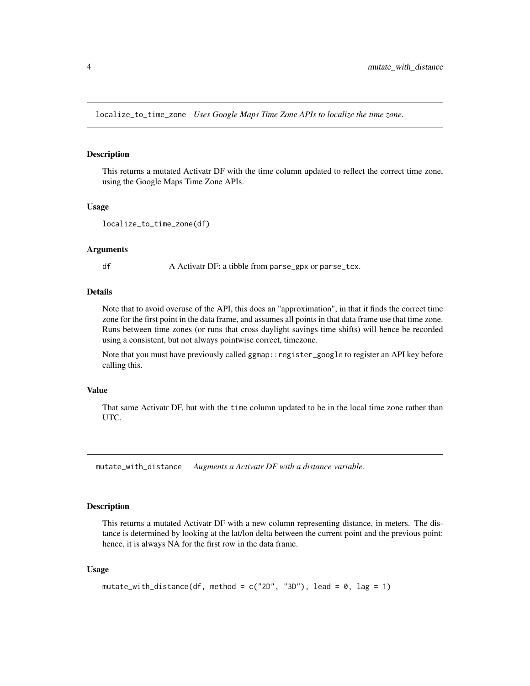<span id="page-3-0"></span>localize\_to\_time\_zone *Uses Google Maps Time Zone APIs to localize the time zone.*

#### Description

This returns a mutated Activatr DF with the time column updated to reflect the correct time zone, using the Google Maps Time Zone APIs.

#### Usage

```
localize_to_time_zone(df)
```
#### Arguments

df A Activatr DF: a tibble from parse\_gpx or parse\_tcx.

#### Details

Note that to avoid overuse of the API, this does an "approximation", in that it finds the correct time zone for the first point in the data frame, and assumes all points in that data frame use that time zone. Runs between time zones (or runs that cross daylight savings time shifts) will hence be recorded using a consistent, but not always pointwise correct, timezone.

Note that you must have previously called ggmap::register\_google to register an API key before calling this.

#### Value

That same Activatr DF, but with the time column updated to be in the local time zone rather than UTC.

mutate\_with\_distance *Augments a Activatr DF with a distance variable.*

#### Description

This returns a mutated Activatr DF with a new column representing distance, in meters. The distance is determined by looking at the lat/lon delta between the current point and the previous point: hence, it is always NA for the first row in the data frame.

#### Usage

```
mutate_with_distance(df, method = c("2D", "3D"), lead = 0, lag = 1)
```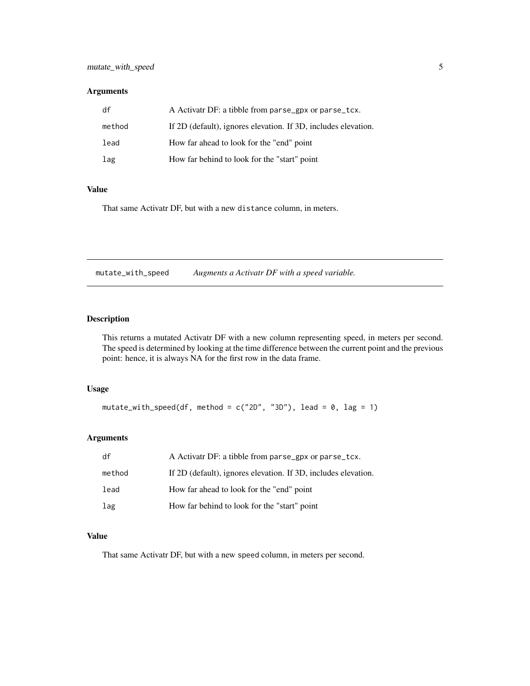#### <span id="page-4-0"></span>Arguments

| df     | A Activatr DF: a tibble from parse_gpx or parse_tcx.           |
|--------|----------------------------------------------------------------|
| method | If 2D (default), ignores elevation. If 3D, includes elevation. |
| lead   | How far ahead to look for the "end" point                      |
| lag    | How far behind to look for the "start" point                   |

#### Value

That same Activatr DF, but with a new distance column, in meters.

mutate\_with\_speed *Augments a Activatr DF with a speed variable.*

#### Description

This returns a mutated Activatr DF with a new column representing speed, in meters per second. The speed is determined by looking at the time difference between the current point and the previous point: hence, it is always NA for the first row in the data frame.

#### Usage

```
mutate_with_speed(df, method = c("2D", "3D"), lead = 0, lag = 1)
```
#### Arguments

| df     | A Activatr DF: a tibble from parse_gpx or parse_tcx.           |
|--------|----------------------------------------------------------------|
| method | If 2D (default), ignores elevation. If 3D, includes elevation. |
| lead   | How far ahead to look for the "end" point                      |
| lag    | How far behind to look for the "start" point                   |

#### Value

That same Activatr DF, but with a new speed column, in meters per second.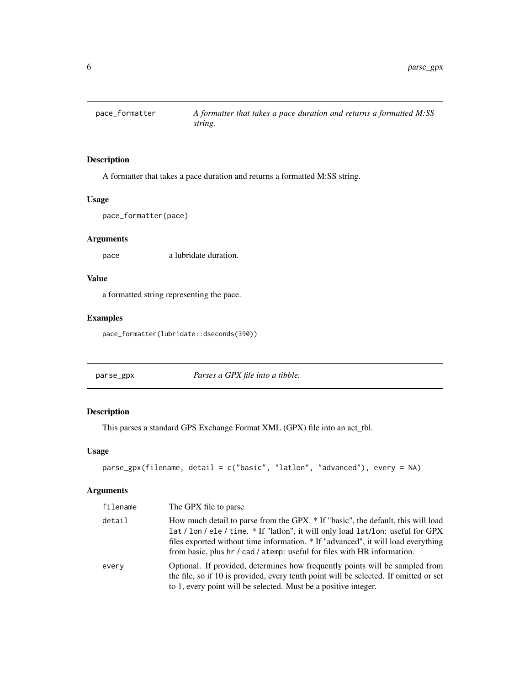<span id="page-5-0"></span>

#### Description

A formatter that takes a pace duration and returns a formatted M:SS string.

#### Usage

pace\_formatter(pace)

#### Arguments

pace a lubridate duration.

#### Value

a formatted string representing the pace.

#### Examples

pace\_formatter(lubridate::dseconds(390))

parse\_gpx *Parses a GPX file into a tibble.*

#### Description

This parses a standard GPS Exchange Format XML (GPX) file into an act\_tbl.

#### Usage

```
parse_gpx(filename, detail = c("basic", "latlon", "advanced"), every = NA)
```
#### Arguments

| filename | The GPX file to parse                                                                                                                                                                                                                                                                                                                 |
|----------|---------------------------------------------------------------------------------------------------------------------------------------------------------------------------------------------------------------------------------------------------------------------------------------------------------------------------------------|
| detail   | How much detail to parse from the GPX. * If "basic", the default, this will load<br>lat / lon / ele / time. * If "latlon", it will only load lat/lon: useful for GPX<br>files exported without time information. * If "advanced", it will load everything<br>from basic, plus hr / cad / atemp: useful for files with HR information. |
| every    | Optional. If provided, determines how frequently points will be sampled from<br>the file, so if 10 is provided, every tenth point will be selected. If omitted or set<br>to 1, every point will be selected. Must be a positive integer.                                                                                              |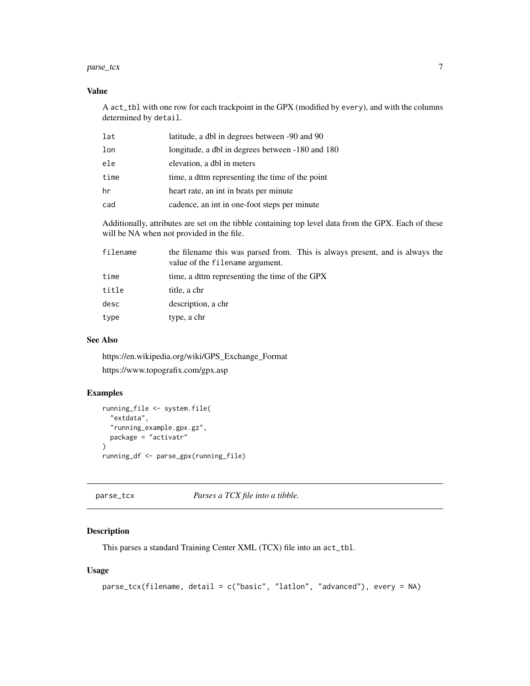#### <span id="page-6-0"></span> $p$ arse\_tcx  $\qquad \qquad$  7

#### Value

A act\_tbl with one row for each trackpoint in the GPX (modified by every), and with the columns determined by detail.

| lat  | latitude, a dbl in degrees between -90 and 90    |
|------|--------------------------------------------------|
| lon  | longitude, a dbl in degrees between -180 and 180 |
| ele  | elevation, a dbl in meters                       |
| time | time, a dttm representing the time of the point  |
| hr   | heart rate, an int in beats per minute           |
| cad  | cadence, an int in one-foot steps per minute     |

Additionally, attributes are set on the tibble containing top level data from the GPX. Each of these will be NA when not provided in the file.

| filename | the filename this was parsed from. This is always present, and is always the<br>value of the filename argument. |
|----------|-----------------------------------------------------------------------------------------------------------------|
| time     | time, a dttm representing the time of the GPX                                                                   |
| title    | title, a chr                                                                                                    |
| desc     | description, a chr                                                                                              |
| type     | type, a chr                                                                                                     |
|          |                                                                                                                 |

#### See Also

https://en.wikipedia.org/wiki/GPS\_Exchange\_Format https://www.topografix.com/gpx.asp

#### Examples

```
running_file <- system.file(
  "extdata",
  "running_example.gpx.gz",
  package = "activatr"
\mathcal{L}running_df <- parse_gpx(running_file)
```
parse\_tcx *Parses a TCX file into a tibble.*

#### Description

This parses a standard Training Center XML (TCX) file into an act\_tbl.

#### Usage

```
parse_tcx(filename, detail = c("basic", "latlon", "advanced"), every = NA)
```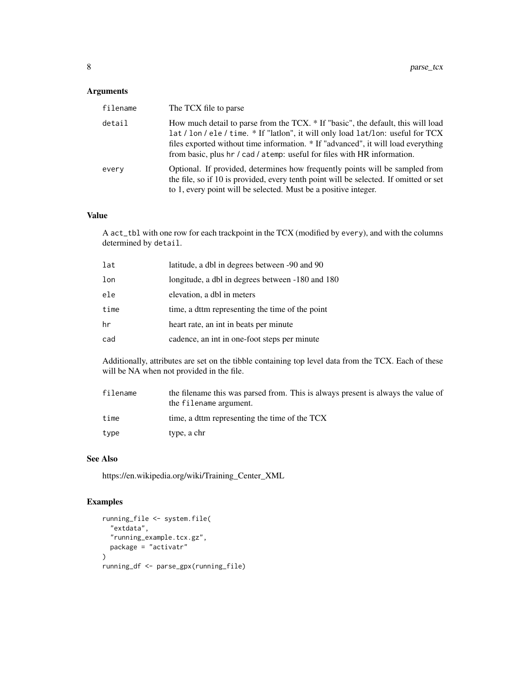#### Arguments

| filename | The TCX file to parse                                                                                                                                                                                                                                                                                                                 |
|----------|---------------------------------------------------------------------------------------------------------------------------------------------------------------------------------------------------------------------------------------------------------------------------------------------------------------------------------------|
| detail   | How much detail to parse from the TCX. * If "basic", the default, this will load<br>lat / lon / ele / time. * If "latlon", it will only load lat/lon: useful for TCX<br>files exported without time information. * If "advanced", it will load everything<br>from basic, plus hr / cad / atemp: useful for files with HR information. |
| every    | Optional. If provided, determines how frequently points will be sampled from<br>the file, so if 10 is provided, every tenth point will be selected. If omitted or set<br>to 1, every point will be selected. Must be a positive integer.                                                                                              |

#### Value

A act\_tbl with one row for each trackpoint in the TCX (modified by every), and with the columns determined by detail.

| lat  | latitude, a dbl in degrees between -90 and 90    |
|------|--------------------------------------------------|
| lon  | longitude, a dbl in degrees between -180 and 180 |
| ele  | elevation, a dbl in meters                       |
| time | time, a dttm representing the time of the point  |
| hr   | heart rate, an int in beats per minute           |
| cad  | cadence, an int in one-foot steps per minute     |

Additionally, attributes are set on the tibble containing top level data from the TCX. Each of these will be NA when not provided in the file.

| filename | the filename this was parsed from. This is always present is always the value of<br>the filename argument. |
|----------|------------------------------------------------------------------------------------------------------------|
| time     | time, a dttm representing the time of the TCX                                                              |
| type     | type, a chr                                                                                                |

#### See Also

https://en.wikipedia.org/wiki/Training\_Center\_XML

#### Examples

```
running_file <- system.file(
 "extdata",
 "running_example.tcx.gz",
 package = "activatr"
)
running_df <- parse_gpx(running_file)
```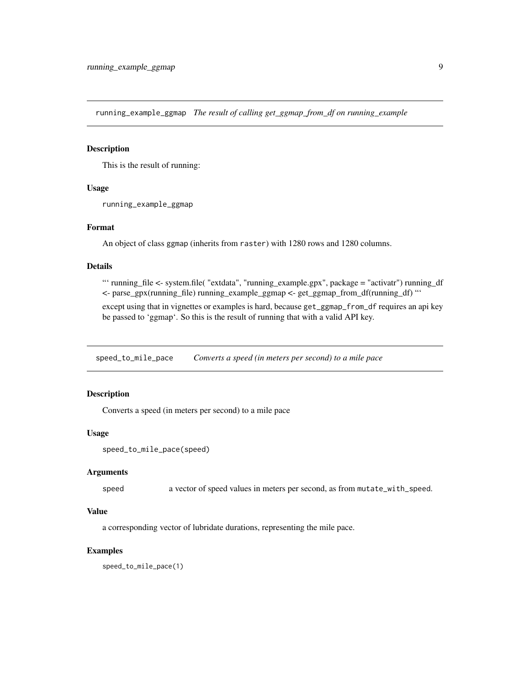<span id="page-8-0"></span>running\_example\_ggmap *The result of calling get\_ggmap\_from\_df on running\_example*

#### Description

This is the result of running:

#### Usage

running\_example\_ggmap

#### Format

An object of class ggmap (inherits from raster) with 1280 rows and 1280 columns.

#### Details

"' running\_file <- system.file( "extdata", "running\_example.gpx", package = "activatr") running\_df <- parse\_gpx(running\_file) running\_example\_ggmap <- get\_ggmap\_from\_df(running\_df) "'

except using that in vignettes or examples is hard, because get\_ggmap\_from\_df requires an api key be passed to 'ggmap'. So this is the result of running that with a valid API key.

speed\_to\_mile\_pace *Converts a speed (in meters per second) to a mile pace*

#### Description

Converts a speed (in meters per second) to a mile pace

#### Usage

```
speed_to_mile_pace(speed)
```
#### Arguments

speed a vector of speed values in meters per second, as from mutate\_with\_speed.

#### Value

a corresponding vector of lubridate durations, representing the mile pace.

#### Examples

speed\_to\_mile\_pace(1)